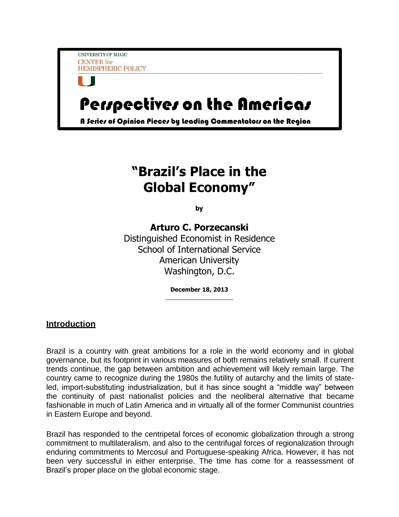UNIVERSITY OF MIAMI **CENTER** for **HEMISPHERIC POLICY** 

# Perspectives on the Americas

A Series of Opinion Pieces by Leading Commentators on the Region

# **"Brazil's Place in the Global Economy"**

**by**

**Arturo C. Porzecanski** Distinguished Economist in Residence School of International Service American University Washington, D.C.

**December 18, 2013**

# **Introduction**

Brazil is a country with great ambitions for a role in the world economy and in global governance, but its footprint in various measures of both remains relatively small. If current trends continue, the gap between ambition and achievement will likely remain large. The country came to recognize during the 1980s the futility of autarchy and the limits of stateled, import-substituting industrialization, but it has since sought a "middle way" between the continuity of past nationalist policies and the neoliberal alternative that became fashionable in much of Latin America and in virtually all of the former Communist countries in Eastern Europe and beyond.

Brazil has responded to the centripetal forces of economic globalization through a strong commitment to multilateralism, and also to the centrifugal forces of regionalization through enduring commitments to Mercosul and Portuguese-speaking Africa. However, it has not been very successful in either enterprise. The time has come for a reassessment of Brazil's proper place on the global economic stage.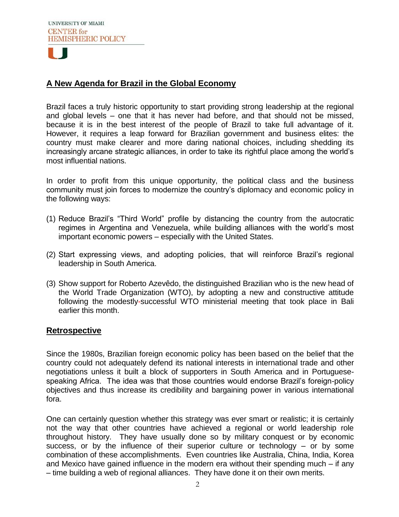

# **A New Agenda for Brazil in the Global Economy**

Brazil faces a truly historic opportunity to start providing strong leadership at the regional and global levels – one that it has never had before, and that should not be missed, because it is in the best interest of the people of Brazil to take full advantage of it. However, it requires a leap forward for Brazilian government and business elites: the country must make clearer and more daring national choices, including shedding its increasingly arcane strategic alliances, in order to take its rightful place among the world's most influential nations.

In order to profit from this unique opportunity, the political class and the business community must join forces to modernize the country's diplomacy and economic policy in the following ways:

- (1) Reduce Brazil's "Third World" profile by distancing the country from the autocratic regimes in Argentina and Venezuela, while building alliances with the world's most important economic powers – especially with the United States.
- (2) Start expressing views, and adopting policies, that will reinforce Brazil's regional leadership in South America.
- (3) Show support for Roberto Azevêdo, the distinguished Brazilian who is the new head of the World Trade Organization (WTO), by adopting a new and constructive attitude following the modestly-successful WTO ministerial meeting that took place in Bali earlier this month.

#### **Retrospective**

Since the 1980s, Brazilian foreign economic policy has been based on the belief that the country could not adequately defend its national interests in international trade and other negotiations unless it built a block of supporters in South America and in Portuguesespeaking Africa. The idea was that those countries would endorse Brazil's foreign-policy objectives and thus increase its credibility and bargaining power in various international fora.

One can certainly question whether this strategy was ever smart or realistic; it is certainly not the way that other countries have achieved a regional or world leadership role throughout history. They have usually done so by military conquest or by economic success, or by the influence of their superior culture or technology – or by some combination of these accomplishments. Even countries like Australia, China, India, Korea and Mexico have gained influence in the modern era without their spending much – if any – time building a web of regional alliances. They have done it on their own merits.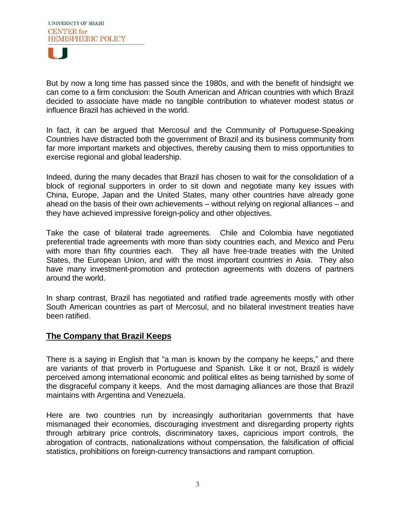

But by now a long time has passed since the 1980s, and with the benefit of hindsight we can come to a firm conclusion: the South American and African countries with which Brazil decided to associate have made no tangible contribution to whatever modest status or influence Brazil has achieved in the world.

In fact, it can be argued that Mercosul and the Community of Portuguese-Speaking Countries have distracted both the government of Brazil and its business community from far more important markets and objectives, thereby causing them to miss opportunities to exercise regional and global leadership.

Indeed, during the many decades that Brazil has chosen to wait for the consolidation of a block of regional supporters in order to sit down and negotiate many key issues with China, Europe, Japan and the United States, many other countries have already gone ahead on the basis of their own achievements – without relying on regional alliances – and they have achieved impressive foreign-policy and other objectives.

Take the case of bilateral trade agreements. Chile and Colombia have negotiated preferential trade agreements with more than sixty countries each, and Mexico and Peru with more than fifty countries each. They all have free-trade treaties with the United States, the European Union, and with the most important countries in Asia. They also have many investment-promotion and protection agreements with dozens of partners around the world.

In sharp contrast, Brazil has negotiated and ratified trade agreements mostly with other South American countries as part of Mercosul, and no bilateral investment treaties have been ratified.

#### **The Company that Brazil Keeps**

There is a saying in English that "a man is known by the company he keeps," and there are variants of that proverb in Portuguese and Spanish. Like it or not, Brazil is widely perceived among international economic and political elites as being tarnished by some of the disgraceful company it keeps. And the most damaging alliances are those that Brazil maintains with Argentina and Venezuela.

Here are two countries run by increasingly authoritarian governments that have mismanaged their economies, discouraging investment and disregarding property rights through arbitrary price controls, discriminatory taxes, capricious import controls, the abrogation of contracts, nationalizations without compensation, the falsification of official statistics, prohibitions on foreign-currency transactions and rampant corruption.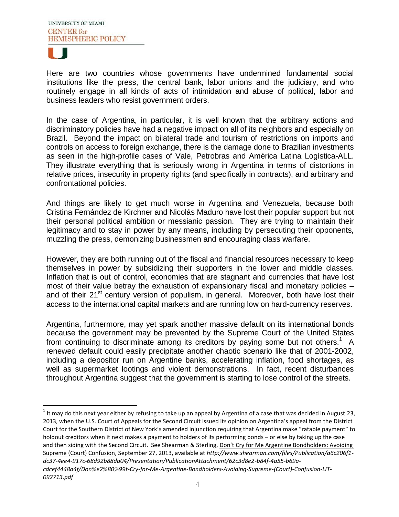

Here are two countries whose governments have undermined fundamental social institutions like the press, the central bank, labor unions and the judiciary, and who routinely engage in all kinds of acts of intimidation and abuse of political, labor and business leaders who resist government orders.

In the case of Argentina, in particular, it is well known that the arbitrary actions and discriminatory policies have had a negative impact on all of its neighbors and especially on Brazil. Beyond the impact on bilateral trade and tourism of restrictions on imports and controls on access to foreign exchange, there is the damage done to Brazilian investments as seen in the high-profile cases of Vale, Petrobras and América Latina Logística-ALL. They illustrate everything that is seriously wrong in Argentina in terms of distortions in relative prices, insecurity in property rights (and specifically in contracts), and arbitrary and confrontational policies.

And things are likely to get much worse in Argentina and Venezuela, because both Cristina Fernández de Kirchner and Nicolás Maduro have lost their popular support but not their personal political ambition or messianic passion. They are trying to maintain their legitimacy and to stay in power by any means, including by persecuting their opponents, muzzling the press, demonizing businessmen and encouraging class warfare.

However, they are both running out of the fiscal and financial resources necessary to keep themselves in power by subsidizing their supporters in the lower and middle classes. Inflation that is out of control, economies that are stagnant and currencies that have lost most of their value betray the exhaustion of expansionary fiscal and monetary policies – and of their 21<sup>st</sup> century version of populism, in general. Moreover, both have lost their access to the international capital markets and are running low on hard-currency reserves.

Argentina, furthermore, may yet spark another massive default on its international bonds because the government may be prevented by the Supreme Court of the United States from continuing to discriminate among its creditors by paying some but not others.<sup>1</sup> A renewed default could easily precipitate another chaotic scenario like that of 2001-2002, including a depositor run on Argentine banks, accelerating inflation, food shortages, as well as supermarket lootings and violent demonstrations. In fact, recent disturbances throughout Argentina suggest that the government is starting to lose control of the streets.

 $\overline{\phantom{a}}$  $^1$  It may do this next year either by refusing to take up an appeal by Argentina of a case that was decided in August 23, 2013, when the U.S. Court of Appeals for the Second Circuit issued its opinion on Argentina's appeal from the District Court for the Southern District of New York's amended injunction requiring that Argentina make "ratable payment" to holdout creditors when it next makes a payment to holders of its performing bonds – or else by taking up the case and then siding with the Second Circuit. See Shearman & Sterling, Don't Cry for Me Argentine Bondholders: Avoiding Supreme (Court) Confusion, September 27, 2013, available at *http://www.shearman.com/files/Publication/a6c206f1 dc37-4ee4-917c-68d92b88da04/Presentation/PublicationAttachment/62c3d8e2-b84f-4a55-b69a-*

*cdcef4448a4f/Don%e2%80%99t-Cry-for-Me-Argentine-Bondholders-Avoiding-Supreme-(Court)-Confusion-LIT-092713.pdf*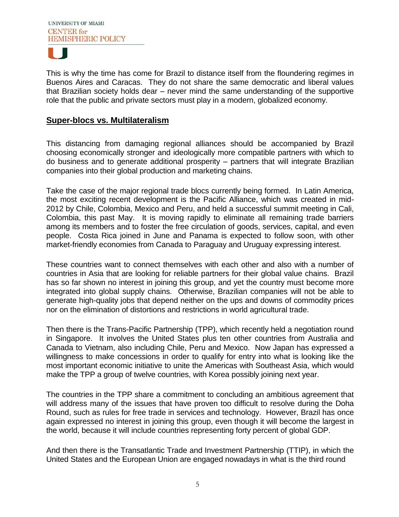

This is why the time has come for Brazil to distance itself from the floundering regimes in Buenos Aires and Caracas. They do not share the same democratic and liberal values that Brazilian society holds dear – never mind the same understanding of the supportive role that the public and private sectors must play in a modern, globalized economy.

### **Super-blocs vs. Multilateralism**

This distancing from damaging regional alliances should be accompanied by Brazil choosing economically stronger and ideologically more compatible partners with which to do business and to generate additional prosperity – partners that will integrate Brazilian companies into their global production and marketing chains.

Take the case of the major regional trade blocs currently being formed. In Latin America, the most exciting recent development is the Pacific Alliance, which was created in mid-2012 by Chile, Colombia, Mexico and Peru, and held a successful summit meeting in Cali, Colombia, this past May. It is moving rapidly to eliminate all remaining trade barriers among its members and to foster the free circulation of goods, services, capital, and even people. Costa Rica joined in June and Panama is expected to follow soon, with other market-friendly economies from Canada to Paraguay and Uruguay expressing interest.

These countries want to connect themselves with each other and also with a number of countries in Asia that are looking for reliable partners for their global value chains. Brazil has so far shown no interest in joining this group, and yet the country must become more integrated into global supply chains. Otherwise, Brazilian companies will not be able to generate high-quality jobs that depend neither on the ups and downs of commodity prices nor on the elimination of distortions and restrictions in world agricultural trade.

Then there is the Trans-Pacific Partnership (TPP), which recently held a negotiation round in Singapore. It involves the United States plus ten other countries from Australia and Canada to Vietnam, also including Chile, Peru and Mexico. Now Japan has expressed a willingness to make concessions in order to qualify for entry into what is looking like the most important economic initiative to unite the Americas with Southeast Asia, which would make the TPP a group of twelve countries, with Korea possibly joining next year.

The countries in the TPP share a commitment to concluding an ambitious agreement that will address many of the issues that have proven too difficult to resolve during the Doha Round, such as rules for free trade in services and technology. However, Brazil has once again expressed no interest in joining this group, even though it will become the largest in the world, because it will include countries representing forty percent of global GDP.

And then there is the Transatlantic Trade and Investment Partnership (TTIP), in which the United States and the European Union are engaged nowadays in what is the third round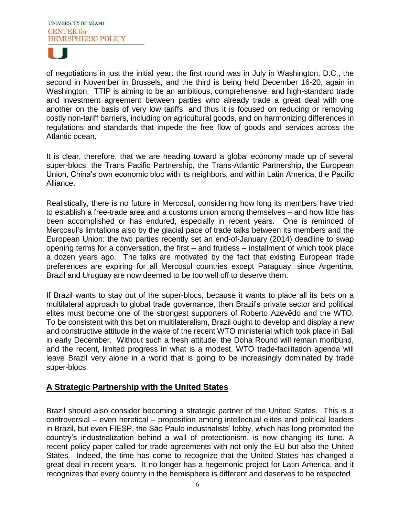

of negotiations in just the initial year: the first round was in July in Washington, D.C., the second in November in Brussels, and the third is being held December 16-20, again in Washington. TTIP is aiming to be an ambitious, comprehensive, and high-standard trade and investment agreement between parties who already trade a great deal with one another on the basis of very low tariffs, and thus it is focused on reducing or removing costly non-tariff barriers, including on agricultural goods, and on harmonizing differences in regulations and standards that impede the free flow of goods and services across the Atlantic ocean.

It is clear, therefore, that we are heading toward a global economy made up of several super-blocs: the Trans Pacific Partnership, the Trans-Atlantic Partnership, the European Union, China's own economic bloc with its neighbors, and within Latin America, the Pacific Alliance.

Realistically, there is no future in Mercosul, considering how long its members have tried to establish a free-trade area and a customs union among themselves – and how little has been accomplished or has endured, especially in recent years. One is reminded of Mercosul's limitations also by the glacial pace of trade talks between its members and the European Union: the two parties recently set an end-of-January (2014) deadline to swap opening terms for a conversation, the first – and fruitless – installment of which took place a dozen years ago. The talks are motivated by the fact that existing European trade preferences are expiring for all Mercosul countries except Paraguay, since Argentina, Brazil and Uruguay are now deemed to be too well off to deserve them.

If Brazil wants to stay out of the super-blocs, because it wants to place all its bets on a multilateral approach to global trade governance, then Brazil's private sector and political elites must become one of the strongest supporters of Roberto Azevêdo and the WTO. To be consistent with this bet on multilateralism, Brazil ought to develop and display a new and constructive attitude in the wake of the recent WTO ministerial which took place in Bali in early December. Without such a fresh attitude, the Doha Round will remain moribund, and the recent, limited progress in what is a modest, WTO trade-facilitation agenda will leave Brazil very alone in a world that is going to be increasingly dominated by trade super-blocs.

# **A Strategic Partnership with the United States**

Brazil should also consider becoming a strategic partner of the United States. This is a controversial – even heretical – proposition among intellectual elites and political leaders in Brazil, but even FIESP, the São Paulo industrialists' lobby, which has long promoted the country's industrialization behind a wall of protectionism, is now changing its tune. A recent policy paper called for trade agreements with not only the EU but also the United States. Indeed, the time has come to recognize that the United States has changed a great deal in recent years. It no longer has a hegemonic project for Latin America, and it recognizes that every country in the hemisphere is different and deserves to be respected